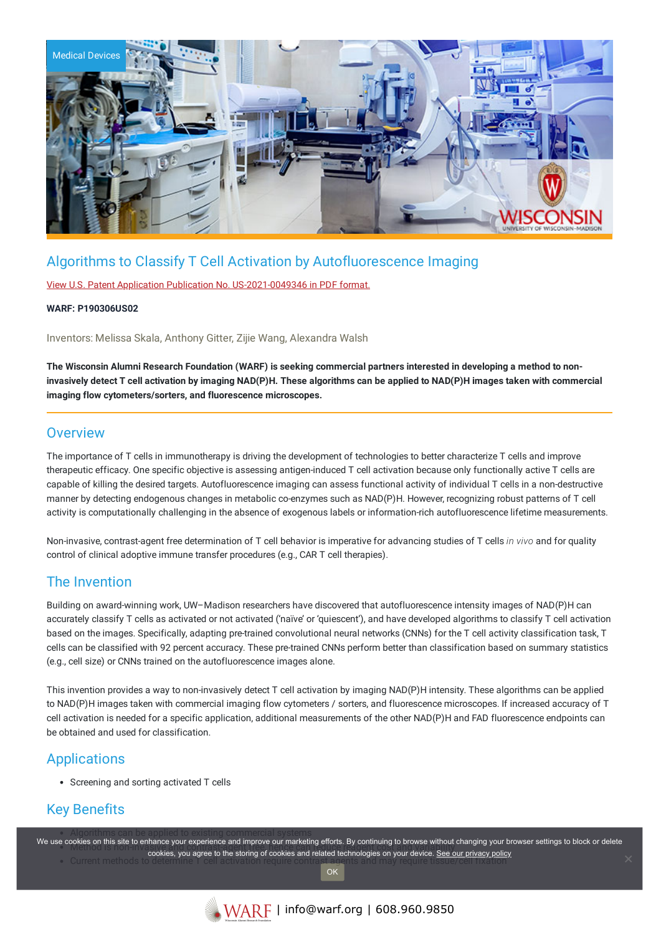

## Algorithms to Classify T Cell Activation by Autofluorescence Imaging

View U.S. Patent Application Publication No. [US-2021-0049346](https://www.warf.org/wp-content/uploads/technologies/pubapps/P190306US02-Published-Application.pdf) in PDF format.

#### **WARF: P190306US02**

Inventors: Melissa Skala, Anthony Gitter, Zijie Wang, Alexandra Walsh

The Wisconsin Alumni Research Foundation (WARF) is seeking commercial partners interested in developing a method to noninvasively detect T cell activation by imaging NAD(P)H. These algorithms can be applied to NAD(P)H images taken with commercial **imaging flow cytometers/sorters, and fluorescence microscopes.**

### **Overview**

The importance of T cells in immunotherapy is driving the development of technologies to better characterize T cells and improve therapeutic efficacy. One specific objective is assessing antigen-induced T cell activation because only functionally active T cells are capable of killing the desired targets. Autofluorescence imaging can assess functional activity of individual T cells in a non-destructive manner by detecting endogenous changes in metabolic co-enzymes such as NAD(P)H. However, recognizing robust patterns of T cell activity is computationally challenging in the absence of exogenous labels or information-rich autofluorescence lifetime measurements.

Non-invasive, contrast-agent free determination of T cell behavior is imperative for advancing studies of T cells *in vivo* and for quality control of clinical adoptive immune transfer procedures (e.g., CAR T cell therapies).

### The Invention

Building on award-winning work, UW–Madison researchers have discovered that autofluorescence intensity images of NAD(P)H can accurately classify T cells as activated or not activated ('naïve' or 'quiescent'), and have developed algorithms to classify T cell activation based on the images. Specifically, adapting pre-trained convolutional neural networks (CNNs) for the T cell activity classification task, T cells can be classified with 92 percent accuracy. These pre-trained CNNs perform better than classification based on summary statistics (e.g., cell size) or CNNs trained on the autofluorescence images alone.

This invention provides a way to non-invasively detect T cell activation by imaging NAD(P)H intensity. These algorithms can be applied to NAD(P)H images taken with commercial imaging flow cytometers / sorters, and fluorescence microscopes. If increased accuracy of T cell activation is needed for a specific application, additional measurements of the other NAD(P)H and FAD fluorescence endpoints can be obtained and used for classification.

## **Applications**

Screening and sorting activated T cells

## Key Benefits

We use cookies on this site to enhance your experience and improve our marketing efforts. By continuing to browse without changing your browser settings to block or delete Johns on this she to emitting your experience and improve our maneurity enore. By community to browse without c cookies, you agree to the storing of cookies and related technologies on your device. [See our privacy policy](https://www.warf.org/privacy-policy/) current methods of cookies and related technologies on your device. See our privacy policy

**OK**